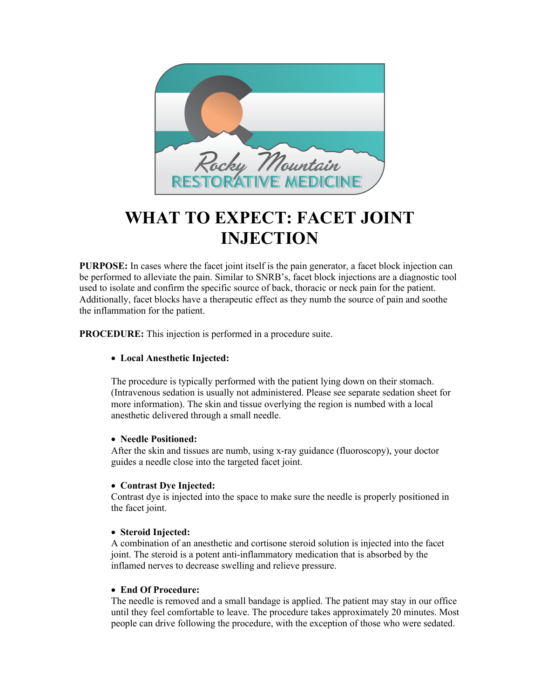

# **WHAT TO EXPECT: FACET JOINT INJECTION**

**PURPOSE:** In cases where the facet joint itself is the pain generator, a facet block injection can be performed to alleviate the pain. Similar to SNRB's, facet block injections are a diagnostic tool used to isolate and confirm the specific source of back, thoracic or neck pain for the patient. Additionally, facet blocks have a therapeutic effect as they numb the source of pain and soothe the inflammation for the patient.

**PROCEDURE:** This injection is performed in a procedure suite.

## • **Local Anesthetic Injected:**

The procedure is typically performed with the patient lying down on their stomach. (Intravenous sedation is usually not administered. Please see separate sedation sheet for more information). The skin and tissue overlying the region is numbed with a local anesthetic delivered through a small needle.

### • **Needle Positioned:**

After the skin and tissues are numb, using x-ray guidance (fluoroscopy), your doctor guides a needle close into the targeted facet joint.

### • **Contrast Dye Injected:**

Contrast dye is injected into the space to make sure the needle is properly positioned in the facet joint.

### • **Steroid Injected:**

A combination of an anesthetic and cortisone steroid solution is injected into the facet joint. The steroid is a potent anti-inflammatory medication that is absorbed by the inflamed nerves to decrease swelling and relieve pressure.

### • **End Of Procedure:**

The needle is removed and a small bandage is applied. The patient may stay in our office until they feel comfortable to leave. The procedure takes approximately 20 minutes. Most people can drive following the procedure, with the exception of those who were sedated.